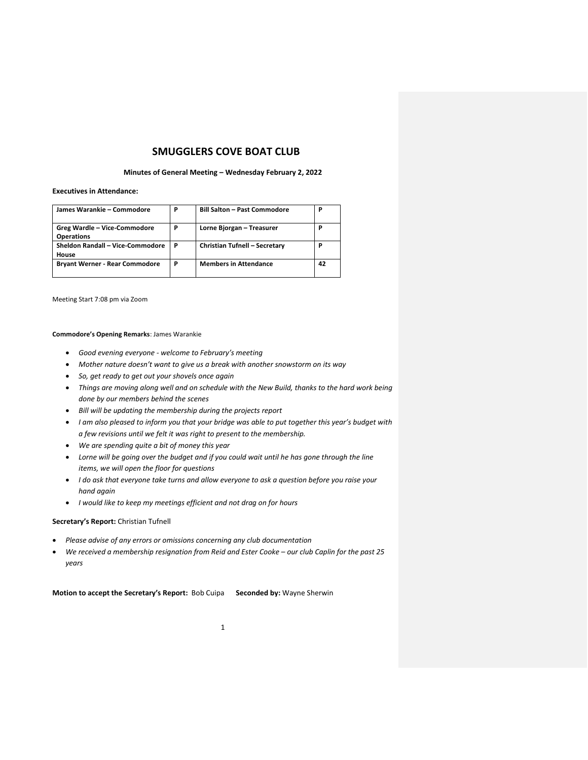# **SMUGGLERS COVE BOAT CLUB**

#### **Minutes of General Meeting – Wednesday February 2, 2022**

## **Executives in Attendance:**

| James Warankie - Commodore                        | P | <b>Bill Salton - Past Commodore</b> | Ρ  |
|---------------------------------------------------|---|-------------------------------------|----|
| Greg Wardle - Vice-Commodore<br><b>Operations</b> | P | Lorne Bjorgan - Treasurer           | Ρ  |
| Sheldon Randall - Vice-Commodore<br>House         | P | Christian Tufnell - Secretary       | Ρ  |
| <b>Bryant Werner - Rear Commodore</b>             | P | <b>Members in Attendance</b>        | 42 |

Meeting Start 7:08 pm via Zoom

### **Commodore's Opening Remarks**: James Warankie

- *Good evening everyone - welcome to February's meeting*
- Mother nature doesn't want to give us a break with another snowstorm on its way
- *So, get ready to get out your shovels once again*
- *Things are moving along well and on schedule with the New Build, thanks to the hard work being done by our members behind the scenes*
- *Bill will be updating the membership during the projects report*
- *I am also pleased to inform you that your bridge was able to put together this year's budget with a few revisions until we felt it was right to present to the membership.*
- *We are spending quite a bit of money this year*
- *Lorne will be going over the budget and if you could wait until he has gone through the line items, we will open the floor for questions*
- *I do ask that everyone take turns and allow everyone to ask a question before you raise your hand again*
- *I would like to keep my meetings efficient and not drag on for hours*

#### **Secretary's Report:** Christian Tufnell

- *Please advise of any errors or omissions concerning any club documentation*
- *We received a membership resignation from Reid and Ester Cooke – our club Caplin for the past 25 years*

**Motion to accept the Secretary's Report:** Bob Cuipa **Seconded by:** Wayne Sherwin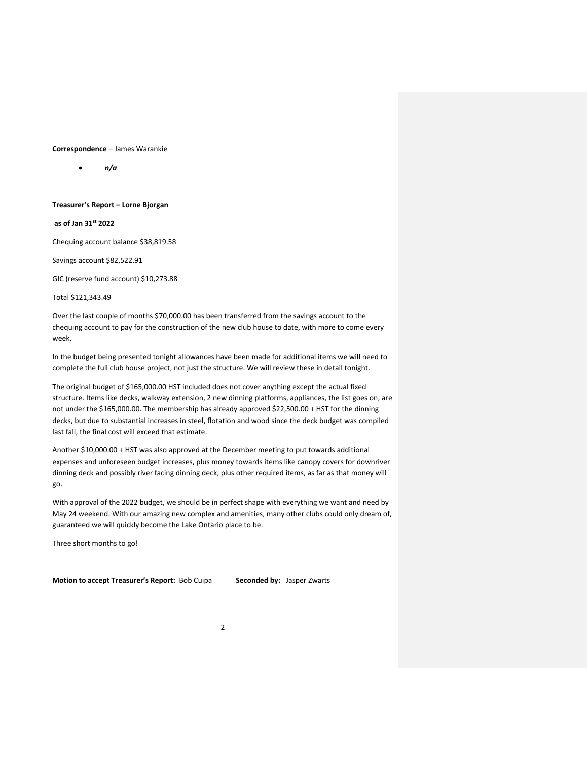### **Correspondence** – James Warankie

• *n/a*

### **Treasurer's Report – Lorne Bjorgan**

**as of Jan 31st 2022**

Chequing account balance \$38,819.58

Savings account \$82,522.91

GIC (reserve fund account) \$10,273.88

Total \$121,343.49

Over the last couple of months \$70,000.00 has been transferred from the savings account to the chequing account to pay for the construction of the new club house to date, with more to come every week.

In the budget being presented tonight allowances have been made for additional items we will need to complete the full club house project, not just the structure. We will review these in detail tonight.

The original budget of \$165,000.00 HST included does not cover anything except the actual fixed structure. Items like decks, walkway extension, 2 new dinning platforms, appliances, the list goes on, are not under the \$165,000.00. The membership has already approved \$22,500.00 + HST for the dinning decks, but due to substantial increases in steel, flotation and wood since the deck budget was compiled last fall, the final cost will exceed that estimate.

Another \$10,000.00 + HST was also approved at the December meeting to put towards additional expenses and unforeseen budget increases, plus money towards items like canopy covers for downriver dinning deck and possibly river facing dinning deck, plus other required items, as far as that money will go.

With approval of the 2022 budget, we should be in perfect shape with everything we want and need by May 24 weekend. With our amazing new complex and amenities, many other clubs could only dream of, guaranteed we will quickly become the Lake Ontario place to be.

Three short months to go!

**Motion to accept Treasurer's Report:** Bob Cuipa **Seconded by:** Jasper Zwarts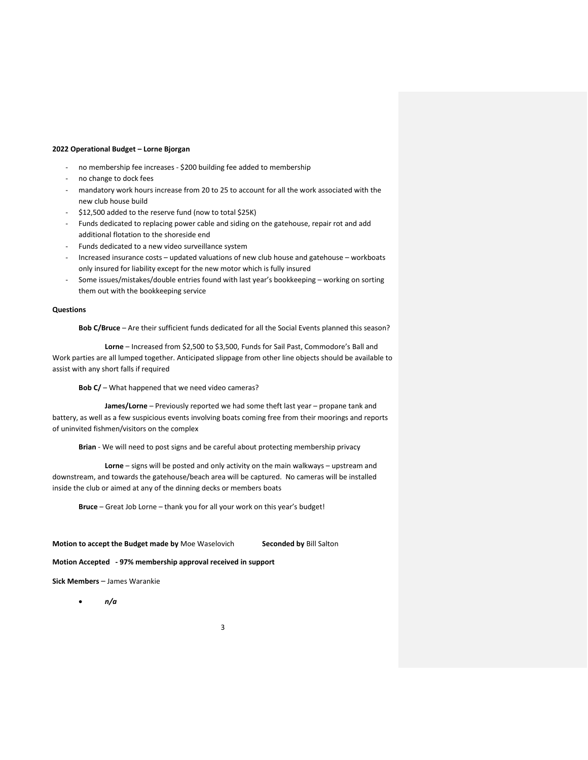### **2022 Operational Budget – Lorne Bjorgan**

- no membership fee increases \$200 building fee added to membership
- no change to dock fees
- mandatory work hours increase from 20 to 25 to account for all the work associated with the new club house build
- \$12,500 added to the reserve fund (now to total \$25K)
- Funds dedicated to replacing power cable and siding on the gatehouse, repair rot and add additional flotation to the shoreside end
- Funds dedicated to a new video surveillance system
- Increased insurance costs updated valuations of new club house and gatehouse workboats only insured for liability except for the new motor which is fully insured
- Some issues/mistakes/double entries found with last year's bookkeeping working on sorting them out with the bookkeeping service

### **Questions**

**Bob C/Bruce** – Are their sufficient funds dedicated for all the Social Events planned this season?

**Lorne** – Increased from \$2,500 to \$3,500, Funds for Sail Past, Commodore's Ball and Work parties are all lumped together. Anticipated slippage from other line objects should be available to assist with any short falls if required

**Bob C/** – What happened that we need video cameras?

**James/Lorne** – Previously reported we had some theft last year – propane tank and battery, as well as a few suspicious events involving boats coming free from their moorings and reports of uninvited fishmen/visitors on the complex

**Brian** - We will need to post signs and be careful about protecting membership privacy

**Lorne** – signs will be posted and only activity on the main walkways – upstream and downstream, and towards the gatehouse/beach area will be captured. No cameras will be installed inside the club or aimed at any of the dinning decks or members boats

**Bruce** – Great Job Lorne – thank you for all your work on this year's budget!

## **Motion to accept the Budget made by** Moe Waselovich **Seconded by** Bill Salton

**Motion Accepted - 97% membership approval received in support**

**Sick Members** – James Warankie

• *n/a*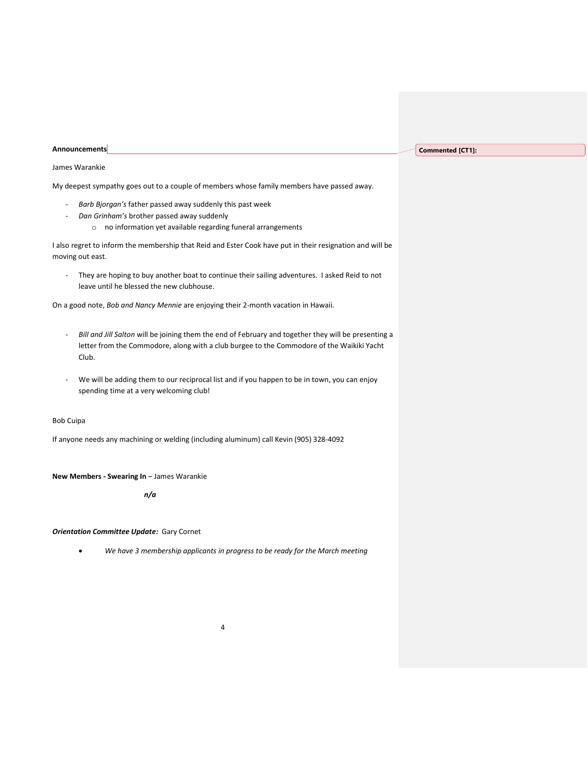#### **Announcements**

### **Commented [CT1]:**

### James Warankie

My deepest sympathy goes out to a couple of members whose family members have passed away.

- *Barb Bjorgan's* father passed away suddenly this past week
- *Dan Grinham's* brother passed away suddenly
	- o no information yet available regarding funeral arrangements

I also regret to inform the membership that Reid and Ester Cook have put in their resignation and will be moving out east.

- They are hoping to buy another boat to continue their sailing adventures. I asked Reid to not leave until he blessed the new clubhouse.

On a good note, *Bob and Nancy Mennie* are enjoying their 2-month vacation in Hawaii.

- *Bill and Jill Salton* will be joining them the end of February and together they will be presenting a letter from the Commodore, along with a club burgee to the Commodore of the Waikiki Yacht Club.
- We will be adding them to our reciprocal list and if you happen to be in town, you can enjoy spending time at a very welcoming club!

## Bob Cuipa

If anyone needs any machining or welding (including aluminum) call Kevin (905) 328-4092

**New Members - Swearing In** – James Warankie

*n/a*

## *Orientation Committee Update:* Gary Cornet

• *We have 3 membership applicants in progress to be ready for the March meeting*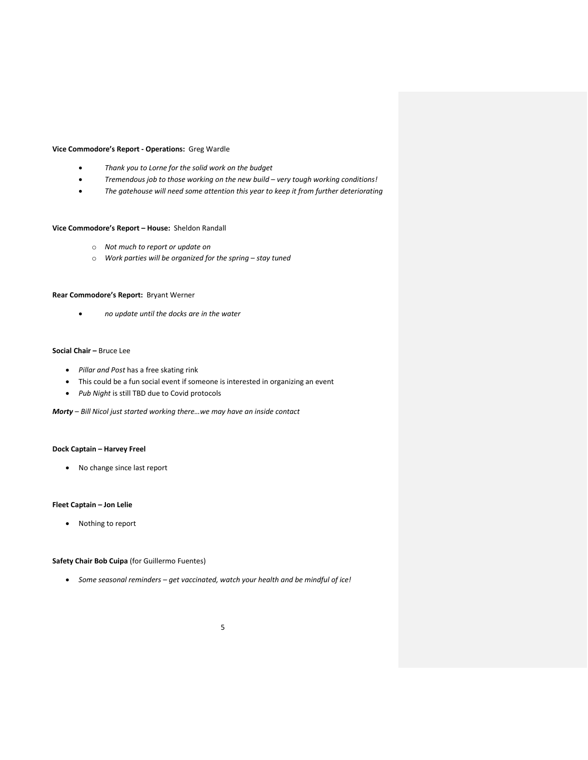### **Vice Commodore's Report - Operations:** Greg Wardle

- *Thank you to Lorne for the solid work on the budget*
- *Tremendous job to those working on the new build – very tough working conditions!*
- *The gatehouse will need some attention this year to keep it from further deteriorating*

## **Vice Commodore's Report – House:** Sheldon Randall

- o *Not much to report or update on*
- o *Work parties will be organized for the spring – stay tuned*

## **Rear Commodore's Report:** Bryant Werner

• *no update until the docks are in the water*

## **Social Chair –** Bruce Lee

- *Pillar and Post* has a free skating rink
- This could be a fun social event if someone is interested in organizing an event
- *Pub Night* is still TBD due to Covid protocols

*Morty – Bill Nicol just started working there…we may have an inside contact*

## **Dock Captain – Harvey Freel**

• No change since last report

## **Fleet Captain – Jon Lelie**

• Nothing to report

## **Safety Chair Bob Cuipa** (for Guillermo Fuentes)

• *Some seasonal reminders – get vaccinated, watch your health and be mindful of ice!*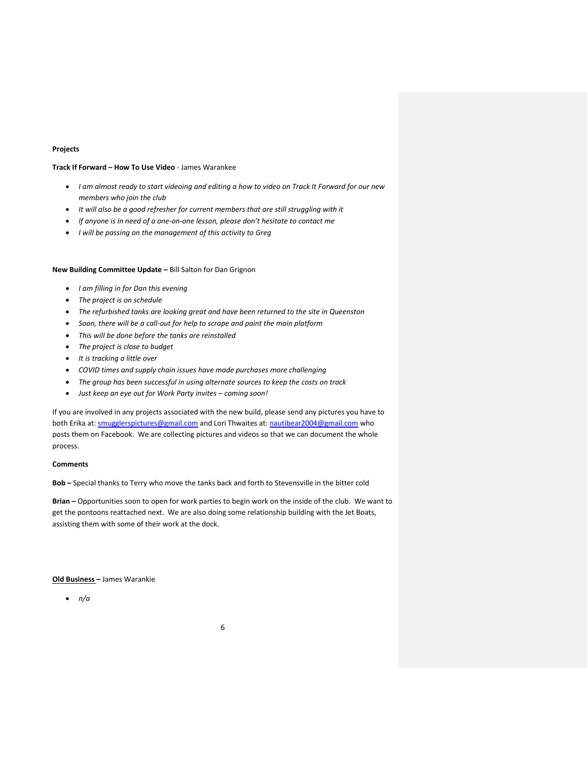### **Projects**

## **Track If Forward – How To Use Video** - James Warankee

- *I am almost ready to start videoing and editing a how to video on Track It Forward for our new members who join the club*
- *It will also be a good refresher for current members that are still struggling with it*
- *If anyone is in need of a one-on-one lesson, please don't hesitate to contact me*
- *I will be passing on the management of this activity to Greg*

## **New Building Committee Update –** Bill Salton for Dan Grignon

- *I am filling in for Dan this evening*
- *The project is on schedule*
- *The refurbished tanks are looking great and have been returned to the site in Queenston*
- *Soon, there will be a call-out for help to scrape and paint the main platform*
- *This will be done before the tanks are reinstalled*
- *The project is close to budget*
- *It is tracking a little over*
- *COVID times and supply chain issues have made purchases more challenging*
- *The group has been successful in using alternate sources to keep the costs on track*
- *Just keep an eye out for Work Party invites – coming soon!*

If you are involved in any projects associated with the new build, please send any pictures you have to both Erika at[: smugglerspictures@gmail.com](mailto:smugglerspictures@gmail.com) and Lori Thwaites at: [nautibear2004@gmail.com](nautibear2004@gmail.com%20) who posts them on Facebook. We are collecting pictures and videos so that we can document the whole process.

### **Comments**

**Bob –** Special thanks to Terry who move the tanks back and forth to Stevensville in the bitter cold

**Brian –** Opportunities soon to open for work parties to begin work on the inside of the club. We want to get the pontoons reattached next. We are also doing some relationship building with the Jet Boats, assisting them with some of their work at the dock.

#### **Old Business –** James Warankie

• *n/a*